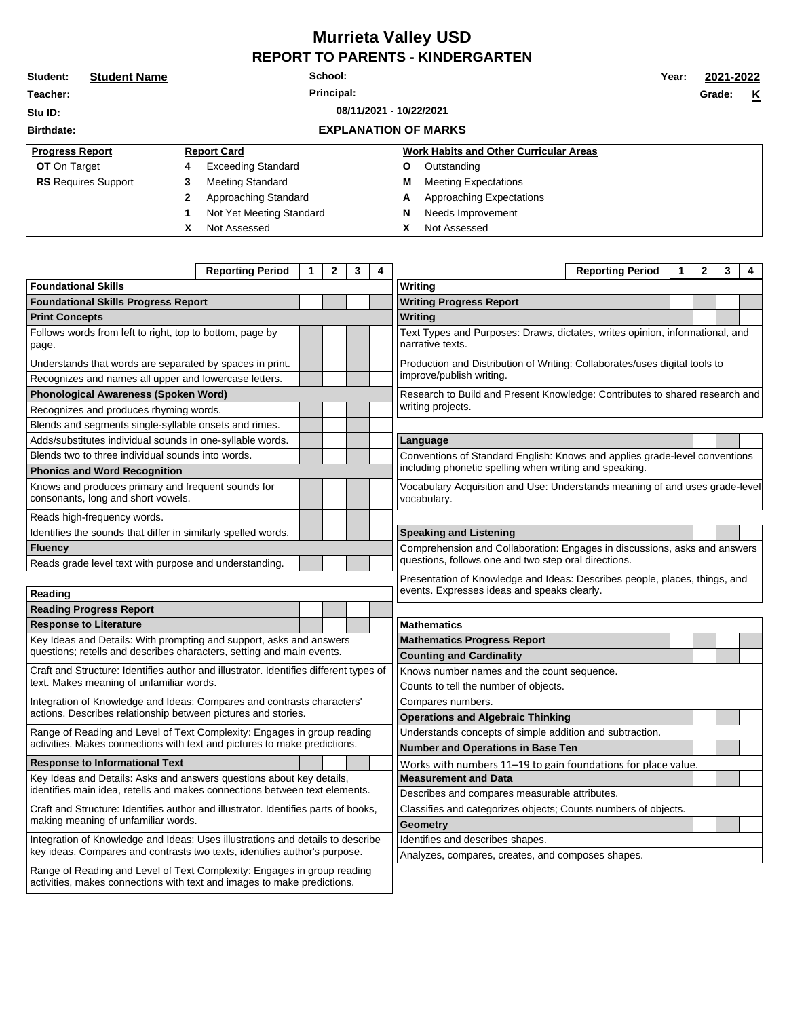## **Murrieta Valley USD REPORT TO PARENTS - KINDERGARTEN**

| Student:                           | <b>Student Name</b> | School:    |                             |   |                                               |  |  | 2021-2022 |  |  |
|------------------------------------|---------------------|------------|-----------------------------|---|-----------------------------------------------|--|--|-----------|--|--|
| Teacher:                           |                     | Principal: |                             |   |                                               |  |  | K         |  |  |
| 08/11/2021 - 10/22/2021<br>Stu ID: |                     |            |                             |   |                                               |  |  |           |  |  |
| <b>Birthdate:</b>                  |                     |            | <b>EXPLANATION OF MARKS</b> |   |                                               |  |  |           |  |  |
| <b>Progress Report</b>             |                     |            | <b>Report Card</b>          |   | <b>Work Habits and Other Curricular Areas</b> |  |  |           |  |  |
| <b>OT</b> On Target                |                     | 4          | <b>Exceeding Standard</b>   | Ο | Outstanding                                   |  |  |           |  |  |
| <b>RS</b> Requires Support         |                     | 3          | <b>Meeting Standard</b>     | M | <b>Meeting Expectations</b>                   |  |  |           |  |  |
|                                    |                     |            | Approaching Standard        | А | Approaching Expectations                      |  |  |           |  |  |
|                                    |                     |            | Not Yet Meeting Standard    | N | Needs Improvement                             |  |  |           |  |  |
|                                    |                     | x          | Not Assessed                | χ | Not Assessed                                  |  |  |           |  |  |

<u> Louis Communication de la provincia de la provincia de la provincia de la provincia de la provincia de la pro</u>

|                                                                                                                                                      | <b>Reporting Period</b> | 1 | $\mathbf{2}$ | 3<br>4 |                                  |                                                                                                  | <b>Reporting Period</b> | 1 | $\mathbf{2}$ | 3 | 4 |  |
|------------------------------------------------------------------------------------------------------------------------------------------------------|-------------------------|---|--------------|--------|----------------------------------|--------------------------------------------------------------------------------------------------|-------------------------|---|--------------|---|---|--|
| <b>Foundational Skills</b>                                                                                                                           |                         |   |              |        |                                  | Writing                                                                                          |                         |   |              |   |   |  |
| <b>Foundational Skills Progress Report</b>                                                                                                           |                         |   |              |        | <b>Writing Progress Report</b>   |                                                                                                  |                         |   |              |   |   |  |
| <b>Print Concepts</b>                                                                                                                                |                         |   |              |        |                                  | <b>Writing</b>                                                                                   |                         |   |              |   |   |  |
| Follows words from left to right, top to bottom, page by<br>page.                                                                                    |                         |   |              |        |                                  | Text Types and Purposes: Draws, dictates, writes opinion, informational, and<br>narrative texts. |                         |   |              |   |   |  |
| Understands that words are separated by spaces in print.                                                                                             |                         |   |              |        |                                  | Production and Distribution of Writing: Collaborates/uses digital tools to                       |                         |   |              |   |   |  |
| Recognizes and names all upper and lowercase letters.                                                                                                |                         |   |              |        |                                  | improve/publish writing.                                                                         |                         |   |              |   |   |  |
| <b>Phonological Awareness (Spoken Word)</b>                                                                                                          |                         |   |              |        |                                  | Research to Build and Present Knowledge: Contributes to shared research and                      |                         |   |              |   |   |  |
| Recognizes and produces rhyming words.                                                                                                               |                         |   |              |        |                                  | writing projects.                                                                                |                         |   |              |   |   |  |
| Blends and segments single-syllable onsets and rimes.                                                                                                |                         |   |              |        |                                  |                                                                                                  |                         |   |              |   |   |  |
| Adds/substitutes individual sounds in one-syllable words.                                                                                            |                         |   |              |        |                                  | Language                                                                                         |                         |   |              |   |   |  |
| Blends two to three individual sounds into words.                                                                                                    |                         |   |              |        |                                  | Conventions of Standard English: Knows and applies grade-level conventions                       |                         |   |              |   |   |  |
| <b>Phonics and Word Recognition</b>                                                                                                                  |                         |   |              |        |                                  | including phonetic spelling when writing and speaking.                                           |                         |   |              |   |   |  |
| Knows and produces primary and frequent sounds for<br>consonants, long and short vowels.                                                             |                         |   |              |        |                                  | Vocabulary Acquisition and Use: Understands meaning of and uses grade-level<br>vocabulary.       |                         |   |              |   |   |  |
| Reads high-frequency words.                                                                                                                          |                         |   |              |        |                                  |                                                                                                  |                         |   |              |   |   |  |
| Identifies the sounds that differ in similarly spelled words.                                                                                        |                         |   |              |        |                                  | <b>Speaking and Listening</b>                                                                    |                         |   |              |   |   |  |
| <b>Fluency</b>                                                                                                                                       |                         |   |              |        |                                  | Comprehension and Collaboration: Engages in discussions, asks and answers                        |                         |   |              |   |   |  |
| Reads grade level text with purpose and understanding.                                                                                               |                         |   |              |        |                                  | questions, follows one and two step oral directions.                                             |                         |   |              |   |   |  |
|                                                                                                                                                      |                         |   |              |        |                                  | Presentation of Knowledge and Ideas: Describes people, places, things, and                       |                         |   |              |   |   |  |
| Reading                                                                                                                                              |                         |   |              |        |                                  | events. Expresses ideas and speaks clearly.                                                      |                         |   |              |   |   |  |
| <b>Reading Progress Report</b>                                                                                                                       |                         |   |              |        |                                  |                                                                                                  |                         |   |              |   |   |  |
| <b>Response to Literature</b>                                                                                                                        |                         |   |              |        |                                  | <b>Mathematics</b>                                                                               |                         |   |              |   |   |  |
| Key Ideas and Details: With prompting and support, asks and answers                                                                                  |                         |   |              |        |                                  | <b>Mathematics Progress Report</b>                                                               |                         |   |              |   |   |  |
| questions; retells and describes characters, setting and main events.                                                                                |                         |   |              |        |                                  | <b>Counting and Cardinality</b>                                                                  |                         |   |              |   |   |  |
| Craft and Structure: Identifies author and illustrator. Identifies different types of                                                                |                         |   |              |        |                                  | Knows number names and the count sequence.                                                       |                         |   |              |   |   |  |
| text. Makes meaning of unfamiliar words.                                                                                                             |                         |   |              |        |                                  | Counts to tell the number of objects.                                                            |                         |   |              |   |   |  |
| Integration of Knowledge and Ideas: Compares and contrasts characters'                                                                               |                         |   |              |        |                                  | Compares numbers.                                                                                |                         |   |              |   |   |  |
| actions. Describes relationship between pictures and stories.                                                                                        |                         |   |              |        |                                  | <b>Operations and Algebraic Thinking</b>                                                         |                         |   |              |   |   |  |
| Range of Reading and Level of Text Complexity: Engages in group reading<br>activities. Makes connections with text and pictures to make predictions. |                         |   |              |        |                                  | Understands concepts of simple addition and subtraction.                                         |                         |   |              |   |   |  |
|                                                                                                                                                      |                         |   |              |        |                                  | Number and Operations in Base Ten                                                                |                         |   |              |   |   |  |
| <b>Response to Informational Text</b>                                                                                                                |                         |   |              |        |                                  | Works with numbers 11–19 to gain foundations for place value.                                    |                         |   |              |   |   |  |
| Key Ideas and Details: Asks and answers questions about key details,                                                                                 |                         |   |              |        |                                  | <b>Measurement and Data</b>                                                                      |                         |   |              |   |   |  |
| identifies main idea, retells and makes connections between text elements.                                                                           |                         |   |              |        |                                  | Describes and compares measurable attributes.                                                    |                         |   |              |   |   |  |
| Craft and Structure: Identifies author and illustrator. Identifies parts of books,<br>making meaning of unfamiliar words.                            |                         |   |              |        |                                  | Classifies and categorizes objects; Counts numbers of objects.                                   |                         |   |              |   |   |  |
|                                                                                                                                                      |                         |   |              |        |                                  | <b>Geometry</b>                                                                                  |                         |   |              |   |   |  |
| Integration of Knowledge and Ideas: Uses illustrations and details to describe                                                                       |                         |   |              |        | Identifies and describes shapes. |                                                                                                  |                         |   |              |   |   |  |
| key ideas. Compares and contrasts two texts, identifies author's purpose.                                                                            |                         |   |              |        |                                  | Analyzes, compares, creates, and composes shapes.                                                |                         |   |              |   |   |  |
| Range of Reading and Level of Text Complexity: Engages in group reading<br>activities, makes connections with text and images to make predictions.   |                         |   |              |        |                                  |                                                                                                  |                         |   |              |   |   |  |